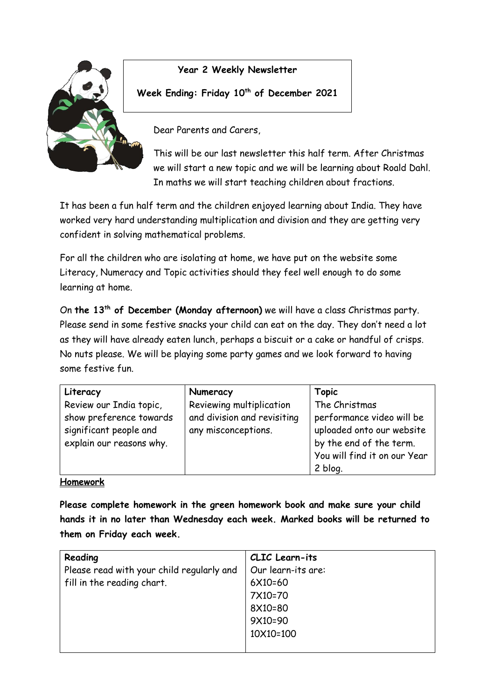

## **Year 2 Weekly Newsletter**

### **Week Ending: Friday 10th of December 2021**

Dear Parents and Carers,

This will be our last newsletter this half term. After Christmas we will start a new topic and we will be learning about Roald Dahl. In maths we will start teaching children about fractions.

It has been a fun half term and the children enjoyed learning about India. They have worked very hard understanding multiplication and division and they are getting very confident in solving mathematical problems.

For all the children who are isolating at home, we have put on the website some Literacy, Numeracy and Topic activities should they feel well enough to do some learning at home.

On **the 13th of December (Monday afternoon)** we will have a class Christmas party. Please send in some festive snacks your child can eat on the day. They don't need a lot as they will have already eaten lunch, perhaps a biscuit or a cake or handful of crisps. No nuts please. We will be playing some party games and we look forward to having some festive fun.

| Literacy                                                                                                 | Numeracy                                                                       | Topic                                                                                                                              |
|----------------------------------------------------------------------------------------------------------|--------------------------------------------------------------------------------|------------------------------------------------------------------------------------------------------------------------------------|
| Review our India topic,<br>show preference towards<br>significant people and<br>explain our reasons why. | Reviewing multiplication<br>and division and revisiting<br>any misconceptions. | The Christmas<br>performance video will be<br>uploaded onto our website<br>by the end of the term.<br>You will find it on our Year |
|                                                                                                          |                                                                                | 2 blog.                                                                                                                            |

#### **Homework**

**Please complete homework in the green homework book and make sure your child hands it in no later than Wednesday each week. Marked books will be returned to them on Friday each week.** 

| Reading                                   | CLIC Learn-its     |
|-------------------------------------------|--------------------|
| Please read with your child regularly and | Our learn-its are: |
| fill in the reading chart.                | 6X10=60            |
|                                           | 7X10=70            |
|                                           | 8X10=80            |
|                                           | 9X10=90            |
|                                           | 10X10=100          |
|                                           |                    |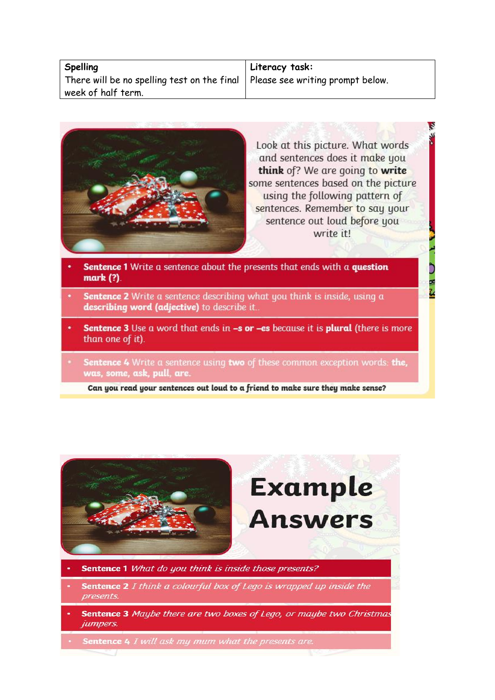#### **Spelling**

There will be no spelling test on the final week of half term.

**Literacy task:** Please see writing prompt below.



Look at this picture. What words and sentences does it make you think of? We are going to write some sentences based on the picture using the following pattern of sentences. Remember to say your sentence out loud before you write it!

- Sentence 1 Write a sentence about the presents that ends with a question mark (?).
- **Sentence 2** Write a sentence describing what you think is inside, using a describing word (adjective) to describe it.
- Sentence 3 Use a word that ends in -s or -es because it is plural (there is more than one of it).
- Sentence 4 Write a sentence using two of these common exception words: the, was, some, ask, pull, are.

Can you read your sentences out loud to a friend to make sure they make sense?